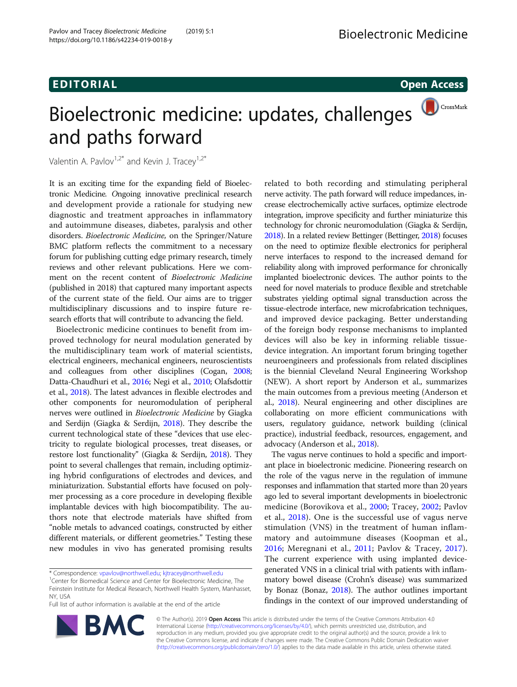# EDI TORIA L Open Access

# CrossMark Bioelectronic medicine: updates, challenges and paths forward

Valentin A. Pavlov<sup>1,2\*</sup> and Kevin J. Tracey<sup>1,2\*</sup>

It is an exciting time for the expanding field of Bioelectronic Medicine. Ongoing innovative preclinical research and development provide a rationale for studying new diagnostic and treatment approaches in inflammatory and autoimmune diseases, diabetes, paralysis and other disorders. Bioelectronic Medicine, on the Springer/Nature BMC platform reflects the commitment to a necessary forum for publishing cutting edge primary research, timely reviews and other relevant publications. Here we comment on the recent content of Bioelectronic Medicine (published in 2018) that captured many important aspects of the current state of the field. Our aims are to trigger multidisciplinary discussions and to inspire future research efforts that will contribute to advancing the field.

Bioelectronic medicine continues to benefit from improved technology for neural modulation generated by the multidisciplinary team work of material scientists, electrical engineers, mechanical engineers, neuroscientists and colleagues from other disciplines (Cogan, [2008](#page-3-0); Datta-Chaudhuri et al., [2016;](#page-3-0) Negi et al., [2010](#page-3-0); Olafsdottir et al., [2018](#page-3-0)). The latest advances in flexible electrodes and other components for neuromodulation of peripheral nerves were outlined in Bioelectronic Medicine by Giagka and Serdijn (Giagka & Serdijn, [2018](#page-3-0)). They describe the current technological state of these "devices that use electricity to regulate biological processes, treat diseases, or restore lost functionality" (Giagka & Serdijn, [2018](#page-3-0)). They point to several challenges that remain, including optimizing hybrid configurations of electrodes and devices, and miniaturization. Substantial efforts have focused on polymer processing as a core procedure in developing flexible implantable devices with high biocompatibility. The authors note that electrode materials have shifted from "noble metals to advanced coatings, constructed by either different materials, or different geometries." Testing these new modules in vivo has generated promising results

Full list of author information is available at the end of the article

related to both recording and stimulating peripheral nerve activity. The path forward will reduce impedances, increase electrochemically active surfaces, optimize electrode integration, improve specificity and further miniaturize this technology for chronic neuromodulation (Giagka & Serdijn, [2018\)](#page-3-0). In a related review Bettinger (Bettinger, [2018\)](#page-3-0) focuses on the need to optimize flexible electronics for peripheral nerve interfaces to respond to the increased demand for reliability along with improved performance for chronically implanted bioelectronic devices. The author points to the need for novel materials to produce flexible and stretchable substrates yielding optimal signal transduction across the tissue-electrode interface, new microfabrication techniques, and improved device packaging. Better understanding of the foreign body response mechanisms to implanted devices will also be key in informing reliable tissuedevice integration. An important forum bringing together neuroengineers and professionals from related disciplines is the biennial Cleveland Neural Engineering Workshop (NEW). A short report by Anderson et al., summarizes the main outcomes from a previous meeting (Anderson et al., [2018\)](#page-3-0). Neural engineering and other disciplines are collaborating on more efficient communications with users, regulatory guidance, network building (clinical practice), industrial feedback, resources, engagement, and advocacy (Anderson et al., [2018](#page-3-0)).

The vagus nerve continues to hold a specific and important place in bioelectronic medicine. Pioneering research on the role of the vagus nerve in the regulation of immune responses and inflammation that started more than 20 years ago led to several important developments in bioelectronic medicine (Borovikova et al., [2000](#page-3-0); Tracey, [2002;](#page-3-0) Pavlov et al., [2018](#page-3-0)). One is the successful use of vagus nerve stimulation (VNS) in the treatment of human inflammatory and autoimmune diseases (Koopman et al., [2016;](#page-3-0) Meregnani et al., [2011;](#page-3-0) Pavlov & Tracey, [2017](#page-3-0)). The current experience with using implanted devicegenerated VNS in a clinical trial with patients with inflammatory bowel disease (Crohn's disease) was summarized by Bonaz (Bonaz, [2018](#page-3-0)). The author outlines important findings in the context of our improved understanding of



© The Author(s). 2019 Open Access This article is distributed under the terms of the Creative Commons Attribution 4.0 International License [\(http://creativecommons.org/licenses/by/4.0/](http://creativecommons.org/licenses/by/4.0/)), which permits unrestricted use, distribution, and reproduction in any medium, provided you give appropriate credit to the original author(s) and the source, provide a link to the Creative Commons license, and indicate if changes were made. The Creative Commons Public Domain Dedication waiver [\(http://creativecommons.org/publicdomain/zero/1.0/](http://creativecommons.org/publicdomain/zero/1.0/)) applies to the data made available in this article, unless otherwise stated.

<sup>\*</sup> Correspondence: [vpavlov@northwell.edu](mailto:vpavlov@northwell.edu); [kjtracey@northwell.edu](mailto:kjtracey@northwell.edu) <sup>1</sup>

<sup>&</sup>lt;sup>1</sup> Center for Biomedical Science and Center for Bioelectronic Medicine, The Feinstein Institute for Medical Research, Northwell Health System, Manhasset, NY, USA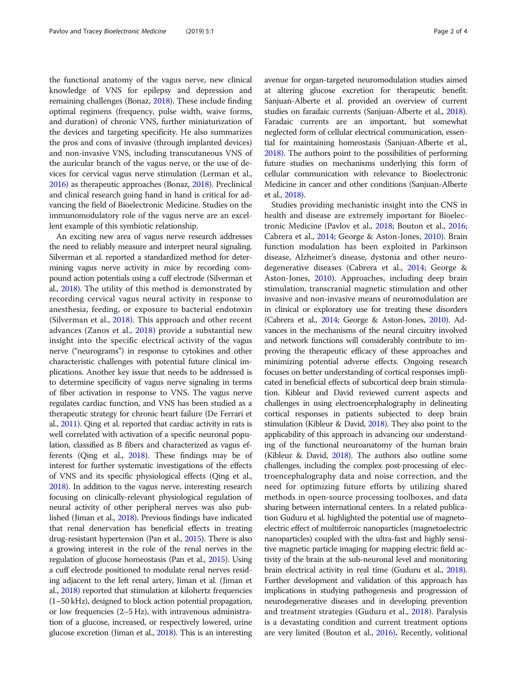the functional anatomy of the vagus nerve, new clinical knowledge of VNS for epilepsy and depression and remaining challenges (Bonaz, [2018\)](#page-3-0). These include finding optimal regimens (frequency, pulse width, waive forms, and duration) of chronic VNS, further miniaturization of the devices and targeting specificity. He also summarizes the pros and cons of invasive (through implanted devices) and non-invasive VNS, including transcutaneous VNS of the auricular branch of the vagus nerve, or the use of devices for cervical vagus nerve stimulation (Lerman et al., [2016\)](#page-3-0) as therapeutic approaches (Bonaz, [2018\)](#page-3-0). Preclinical and clinical research going hand in hand is critical for advancing the field of Bioelectronic Medicine. Studies on the immunomodulatory role of the vagus nerve are an excellent example of this symbiotic relationship.

An exciting new area of vagus nerve research addresses the need to reliably measure and interpret neural signaling. Silverman et al. reported a standardized method for determining vagus nerve activity in mice by recording compound action potentials using a cuff electrode (Silverman et al., [2018](#page-3-0)). The utility of this method is demonstrated by recording cervical vagus neural activity in response to anesthesia, feeding, or exposure to bacterial endotoxin (Silverman et al., [2018\)](#page-3-0). This approach and other recent advances (Zanos et al., [2018\)](#page-3-0) provide a substantial new insight into the specific electrical activity of the vagus nerve ("neurograms") in response to cytokines and other characteristic challenges with potential future clinical implications. Another key issue that needs to be addressed is to determine specificity of vagus nerve signaling in terms of fiber activation in response to VNS. The vagus nerve regulates cardiac function, and VNS has been studied as a therapeutic strategy for chronic heart failure (De Ferrari et al., [2011](#page-3-0)). Qing et al. reported that cardiac activity in rats is well correlated with activation of a specific neuronal population, classified as B fibers and characterized as vagus efferents (Qing et al., [2018](#page-3-0)). These findings may be of interest for further systematic investigations of the effects of VNS and its specific physiological effects (Qing et al., [2018\)](#page-3-0). In addition to the vagus nerve, interesting research focusing on clinically-relevant physiological regulation of neural activity of other peripheral nerves was also published (Jiman et al., [2018\)](#page-3-0). Previous findings have indicated that renal denervation has beneficial effects in treating drug-resistant hypertension (Pan et al., [2015\)](#page-3-0). There is also a growing interest in the role of the renal nerves in the regulation of glucose homeostasis (Pan et al., [2015](#page-3-0)). Using a cuff electrode positioned to modulate renal nerves residing adjacent to the left renal artery, Jiman et al. (Jiman et al., [2018](#page-3-0)) reported that stimulation at kilohertz frequencies (1–50 kHz), designed to block action potential propagation, or low frequencies (2–5 Hz), with intravenous administration of a glucose, increased, or respectively lowered, urine glucose excretion (Jiman et al., [2018\)](#page-3-0). This is an interesting avenue for organ-targeted neuromodulation studies aimed at altering glucose excretion for therapeutic benefit. Sanjuan-Alberte et al. provided an overview of current studies on faradaic currents (Sanjuan-Alberte et al., [2018](#page-3-0)). Faradaic currents are an important, but somewhat neglected form of cellular electrical communication, essential for maintaining homeostasis (Sanjuan-Alberte et al., [2018\)](#page-3-0). The authors point to the possibilities of performing future studies on mechanisms underlying this form of cellular communication with relevance to Bioelectronic Medicine in cancer and other conditions (Sanjuan-Alberte et al., [2018\)](#page-3-0).

Studies providing mechanistic insight into the CNS in health and disease are extremely important for Bioelectronic Medicine (Pavlov et al., [2018](#page-3-0); Bouton et al., [2016](#page-3-0); Cabrera et al., [2014;](#page-3-0) George & Aston-Jones, [2010](#page-3-0)). Brain function modulation has been exploited in Parkinson disease, Alzheimer's disease, dystonia and other neurodegenerative diseases (Cabrera et al., [2014](#page-3-0); George & Aston-Jones, [2010](#page-3-0)). Approaches, including deep brain stimulation, transcranial magnetic stimulation and other invasive and non-invasive means of neuromodulation are in clinical or exploratory use for treating these disorders (Cabrera et al., [2014](#page-3-0); George & Aston-Jones, [2010\)](#page-3-0). Advances in the mechanisms of the neural circuitry involved and network functions will considerably contribute to improving the therapeutic efficacy of these approaches and minimizing potential adverse effects. Ongoing research focuses on better understanding of cortical responses implicated in beneficial effects of subcortical deep brain stimulation. Kibleur and David reviewed current aspects and challenges in using electroencephalography in delineating cortical responses in patients subjected to deep brain stimulation (Kibleur & David, [2018](#page-3-0)). They also point to the applicability of this approach in advancing our understanding of the functional neuroanatomy of the human brain (Kibleur & David, [2018](#page-3-0)). The authors also outline some challenges, including the complex post-processing of electroencephalography data and noise correction, and the need for optimizing future efforts by utilizing shared methods in open-source processing toolboxes, and data sharing between international centers. In a related publication Guduru et al. highlighted the potential use of magnetoelectric effect of multiferroic nanoparticles (magnetoelectric nanoparticles) coupled with the ultra-fast and highly sensitive magnetic particle imaging for mapping electric field activity of the brain at the sub-neuronal level and monitoring brain electrical activity in real time (Guduru et al., [2018](#page-3-0)). Further development and validation of this approach has implications in studying pathogenesis and progression of neurodegenerative diseases and in developing prevention and treatment strategies (Guduru et al., [2018](#page-3-0)). Paralysis is a devastating condition and current treatment options are very limited (Bouton et al., [2016\)](#page-3-0). Recently, volitional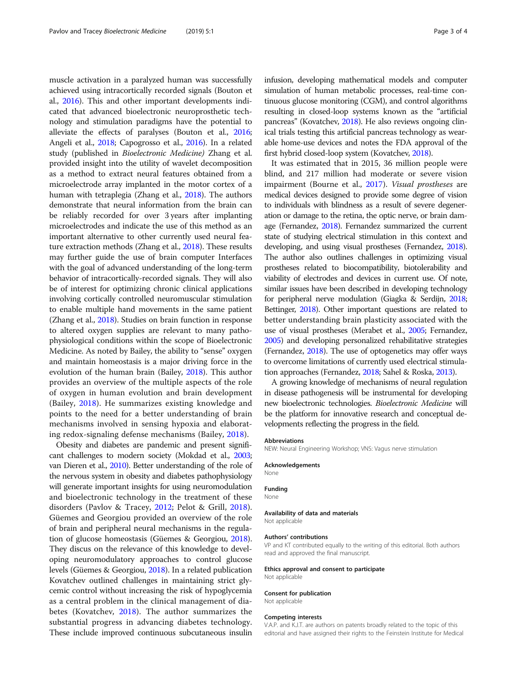muscle activation in a paralyzed human was successfully achieved using intracortically recorded signals (Bouton et al., [2016](#page-3-0)). This and other important developments indicated that advanced bioelectronic neuroprosthetic technology and stimulation paradigms have the potential to alleviate the effects of paralyses (Bouton et al., [2016](#page-3-0); Angeli et al., [2018;](#page-3-0) Capogrosso et al., [2016\)](#page-3-0). In a related study (published in Bioelectronic Medicine) Zhang et al. provided insight into the utility of wavelet decomposition as a method to extract neural features obtained from a microelectrode array implanted in the motor cortex of a human with tetraplegia (Zhang et al., [2018](#page-3-0)). The authors demonstrate that neural information from the brain can be reliably recorded for over 3 years after implanting microelectrodes and indicate the use of this method as an important alternative to other currently used neural feature extraction methods (Zhang et al., [2018\)](#page-3-0). These results may further guide the use of brain computer Interfaces with the goal of advanced understanding of the long-term behavior of intracortically-recorded signals. They will also be of interest for optimizing chronic clinical applications involving cortically controlled neuromuscular stimulation to enable multiple hand movements in the same patient (Zhang et al., [2018\)](#page-3-0). Studies on brain function in response to altered oxygen supplies are relevant to many pathophysiological conditions within the scope of Bioelectronic Medicine. As noted by Bailey, the ability to "sense" oxygen and maintain homeostasis is a major driving force in the evolution of the human brain (Bailey, [2018\)](#page-3-0). This author provides an overview of the multiple aspects of the role of oxygen in human evolution and brain development (Bailey, [2018](#page-3-0)). He summarizes existing knowledge and points to the need for a better understanding of brain mechanisms involved in sensing hypoxia and elaborating redox-signaling defense mechanisms (Bailey, [2018](#page-3-0)).

Obesity and diabetes are pandemic and present significant challenges to modern society (Mokdad et al., [2003](#page-3-0); van Dieren et al., [2010](#page-3-0)). Better understanding of the role of the nervous system in obesity and diabetes pathophysiology will generate important insights for using neuromodulation and bioelectronic technology in the treatment of these disorders (Pavlov & Tracey, [2012](#page-3-0); Pelot & Grill, [2018](#page-3-0)). Güemes and Georgiou provided an overview of the role of brain and peripheral neural mechanisms in the regulation of glucose homeostasis (Güemes & Georgiou, [2018](#page-3-0)). They discus on the relevance of this knowledge to developing neuromodulatory approaches to control glucose levels (Güemes & Georgiou, [2018](#page-3-0)). In a related publication Kovatchev outlined challenges in maintaining strict glycemic control without increasing the risk of hypoglycemia as a central problem in the clinical management of diabetes (Kovatchev, [2018](#page-3-0)). The author summarizes the substantial progress in advancing diabetes technology. These include improved continuous subcutaneous insulin infusion, developing mathematical models and computer simulation of human metabolic processes, real-time continuous glucose monitoring (CGM), and control algorithms resulting in closed-loop systems known as the "artificial pancreas" (Kovatchev, [2018\)](#page-3-0). He also reviews ongoing clinical trials testing this artificial pancreas technology as wearable home-use devices and notes the FDA approval of the first hybrid closed-loop system (Kovatchev, [2018\)](#page-3-0).

It was estimated that in 2015, 36 million people were blind, and 217 million had moderate or severe vision impairment (Bourne et al., [2017](#page-3-0)). Visual prostheses are medical devices designed to provide some degree of vision to individuals with blindness as a result of severe degeneration or damage to the retina, the optic nerve, or brain damage (Fernandez, [2018](#page-3-0)). Fernandez summarized the current state of studying electrical stimulation in this context and developing, and using visual prostheses (Fernandez, [2018\)](#page-3-0). The author also outlines challenges in optimizing visual prostheses related to biocompatibility, biotolerability and viability of electrodes and devices in current use. Of note, similar issues have been described in developing technology for peripheral nerve modulation (Giagka & Serdijn, [2018](#page-3-0); Bettinger, [2018\)](#page-3-0). Other important questions are related to better understanding brain plasticity associated with the use of visual prostheses (Merabet et al., [2005;](#page-3-0) Fernandez, [2005\)](#page-3-0) and developing personalized rehabilitative strategies (Fernandez, [2018\)](#page-3-0). The use of optogenetics may offer ways to overcome limitations of currently used electrical stimulation approaches (Fernandez, [2018;](#page-3-0) Sahel & Roska, [2013](#page-3-0)).

A growing knowledge of mechanisms of neural regulation in disease pathogenesis will be instrumental for developing new bioelectronic technologies. Bioelectronic Medicine will be the platform for innovative research and conceptual developments reflecting the progress in the field.

#### **Abbreviations**

NEW: Neural Engineering Workshop; VNS: Vagus nerve stimulation

#### Acknowledgements

None

## Funding

# None

# Availability of data and materials

Not applicable

#### Authors' contributions

VP and KT contributed equally to the writing of this editorial. Both authors read and approved the final manuscript.

#### Ethics approval and consent to participate

Not applicable

# Consent for publication

Not applicable

#### Competing interests

V.A.P. and K.J.T. are authors on patents broadly related to the topic of this editorial and have assigned their rights to the Feinstein Institute for Medical